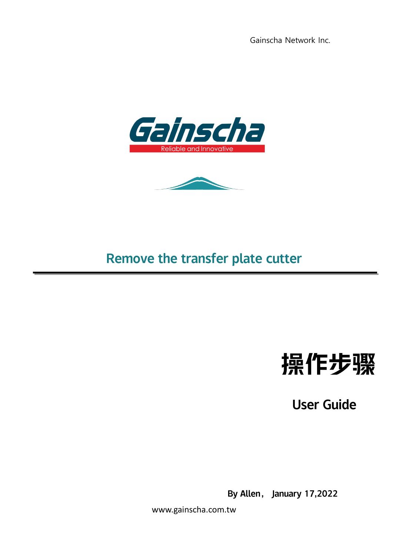



## Remove the transfer plate cutter



User Guide

By Allen, January 17,2022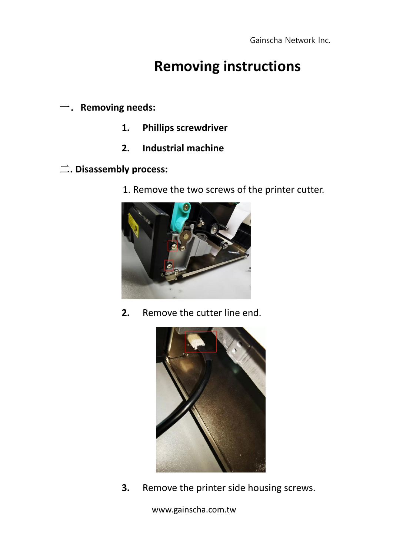## **Removing instructions**

一.**Removing needs:**

- **1. Phillips screwdriver**
- **2. Industrial machine**
- 二**. Disassembly process:**
	- 1. Remove the two screws of the printer cutter.



**2.** Remove the cutter line end.



**3.** Remove the printer side housing screws.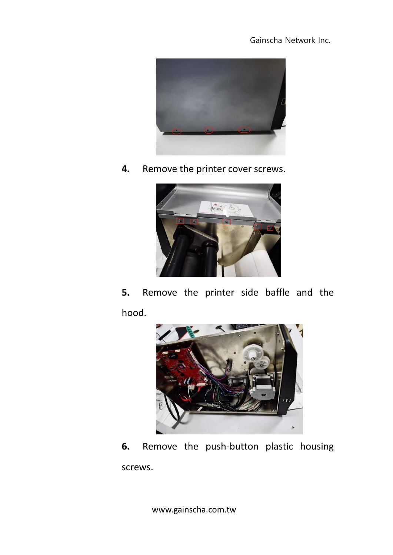

**4.** Remove the printer cover screws.



**5.** Remove the printer side baffle and the hood.



**6.** Remove the push-button plastic housing screws.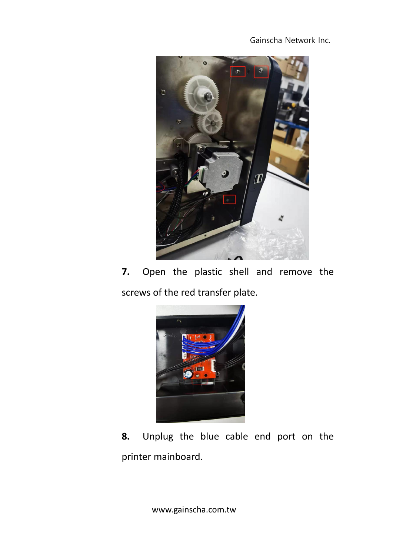

**7.** Open the plastic shell and remove the screws of the red transfer plate.



**8.** Unplug the blue cable end port on the printer mainboard.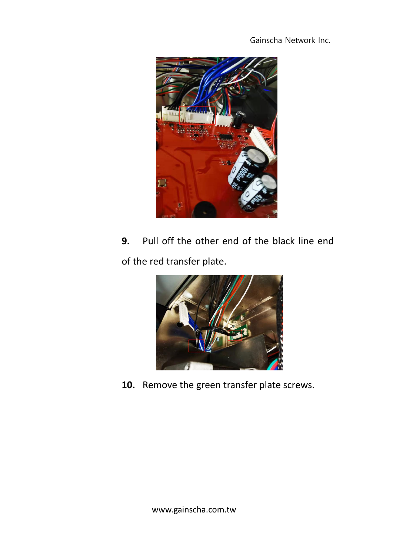

**9.** Pull off the other end of the black line end of the red transfer plate.



**10.** Remove the green transfer plate screws.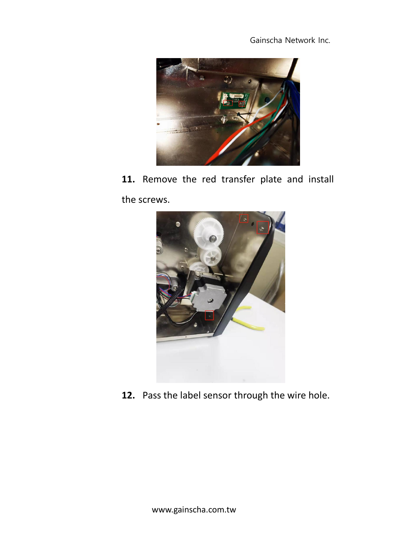

**11.** Remove the red transfer plate and install the screws.



**12.** Pass the label sensor through the wire hole.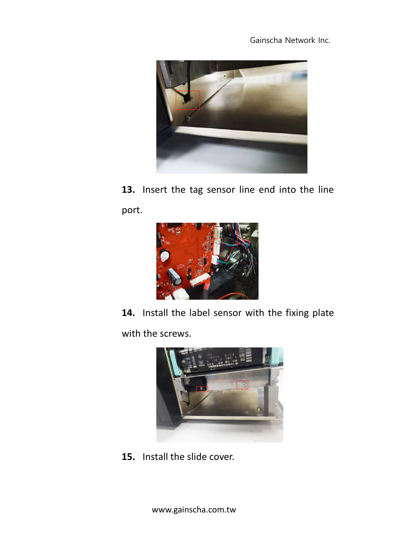

**13.** Insert the tag sensor line end into the line port.



**14.** Install the label sensor with the fixing plate with the screws.



**15.** Install the slide cover.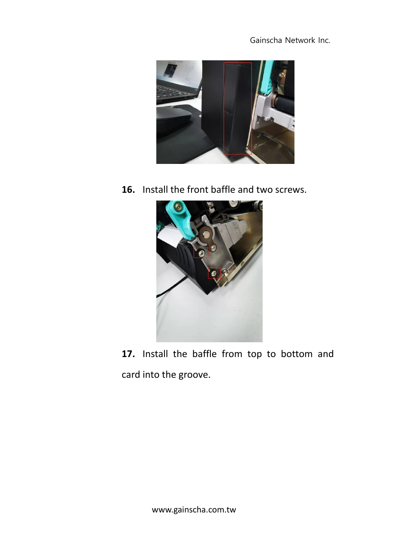

**16.** Install the front baffle and two screws.



**17.** Install the baffle from top to bottom and card into the groove.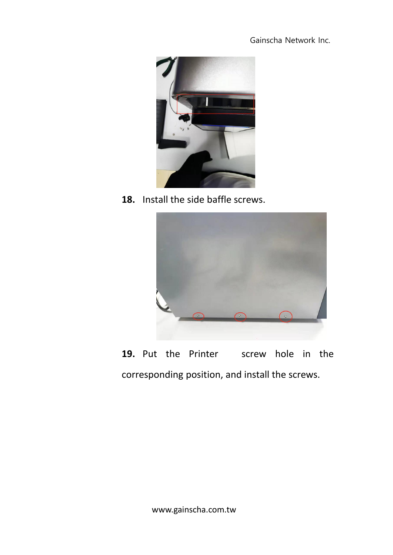

**18.** Install the side baffle screws.



**19.** Put the Printer screw hole in the corresponding position, and install the screws.